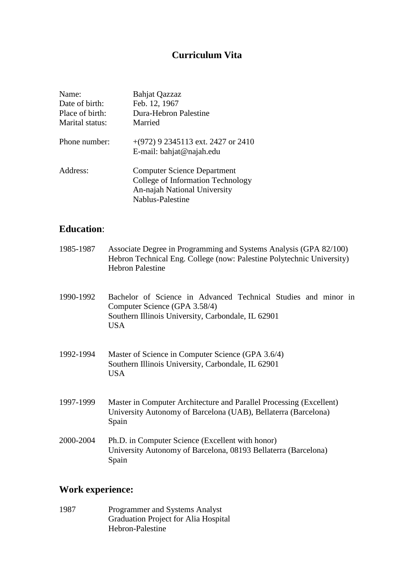# **Curriculum Vita**

| Name:<br>Date of birth:<br>Place of birth:<br>Marital status: | <b>Bahjat Qazzaz</b><br>Feb. 12, 1967<br>Dura-Hebron Palestine<br>Married                                                   |
|---------------------------------------------------------------|-----------------------------------------------------------------------------------------------------------------------------|
| Phone number:                                                 | $+(972)$ 9 2345113 ext. 2427 or 2410<br>E-mail: bahjat@najah.edu                                                            |
| Address:                                                      | <b>Computer Science Department</b><br>College of Information Technology<br>An-najah National University<br>Nablus-Palestine |

## **Education**:

| 1985-1987 | Associate Degree in Programming and Systems Analysis (GPA 82/100)<br>Hebron Technical Eng. College (now: Palestine Polytechnic University)<br><b>Hebron Palestine</b> |
|-----------|-----------------------------------------------------------------------------------------------------------------------------------------------------------------------|
| 1990-1992 | Bachelor of Science in Advanced Technical Studies and minor in<br>Computer Science (GPA 3.58/4)<br>Southern Illinois University, Carbondale, IL 62901<br>USA.         |
| 1992-1994 | Master of Science in Computer Science (GPA 3.6/4)<br>Southern Illinois University, Carbondale, IL 62901<br><b>USA</b>                                                 |
| 1997-1999 | Master in Computer Architecture and Parallel Processing (Excellent)<br>University Autonomy of Barcelona (UAB), Bellaterra (Barcelona)<br>Spain                        |
| 2000-2004 | Ph.D. in Computer Science (Excellent with honor)<br>University Autonomy of Barcelona, 08193 Bellaterra (Barcelona)<br>Spain                                           |

# **Work experience:**

1987 Programmer and Systems Analyst Graduation Project for Alia Hospital Hebron-Palestine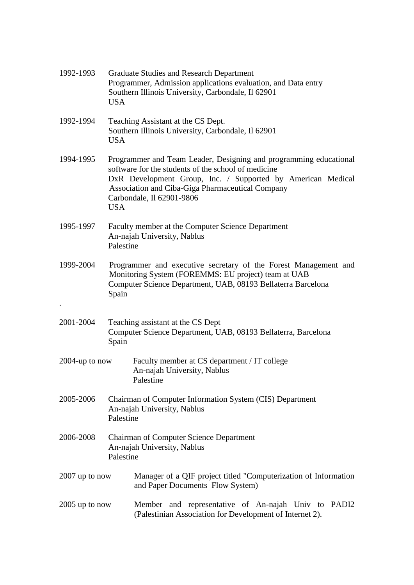| 1992-1993         | <b>USA</b>                                                                                                                                                                                                                                                                             | <b>Graduate Studies and Research Department</b><br>Programmer, Admission applications evaluation, and Data entry<br>Southern Illinois University, Carbondale, Il 62901 |  |  |
|-------------------|----------------------------------------------------------------------------------------------------------------------------------------------------------------------------------------------------------------------------------------------------------------------------------------|------------------------------------------------------------------------------------------------------------------------------------------------------------------------|--|--|
| 1992-1994         | Teaching Assistant at the CS Dept.<br>Southern Illinois University, Carbondale, Il 62901<br><b>USA</b>                                                                                                                                                                                 |                                                                                                                                                                        |  |  |
| 1994-1995         | Programmer and Team Leader, Designing and programming educational<br>software for the students of the school of medicine<br>DxR Development Group, Inc. / Supported by American Medical<br>Association and Ciba-Giga Pharmaceutical Company<br>Carbondale, Il 62901-9806<br><b>USA</b> |                                                                                                                                                                        |  |  |
| 1995-1997         | Faculty member at the Computer Science Department<br>An-najah University, Nablus<br>Palestine                                                                                                                                                                                          |                                                                                                                                                                        |  |  |
| 1999-2004         | Programmer and executive secretary of the Forest Management and<br>Monitoring System (FOREMMS: EU project) team at UAB<br>Computer Science Department, UAB, 08193 Bellaterra Barcelona<br>Spain                                                                                        |                                                                                                                                                                        |  |  |
| 2001-2004         | Spain                                                                                                                                                                                                                                                                                  | Teaching assistant at the CS Dept<br>Computer Science Department, UAB, 08193 Bellaterra, Barcelona                                                                     |  |  |
| $2004$ -up to now |                                                                                                                                                                                                                                                                                        | Faculty member at CS department / IT college<br>An-najah University, Nablus<br>Palestine                                                                               |  |  |
| 2005-2006         | Palestine                                                                                                                                                                                                                                                                              | Chairman of Computer Information System (CIS) Department<br>An-najah University, Nablus                                                                                |  |  |
| 2006-2008         | Palestine                                                                                                                                                                                                                                                                              | <b>Chairman of Computer Science Department</b><br>An-najah University, Nablus                                                                                          |  |  |
| $2007$ up to now  |                                                                                                                                                                                                                                                                                        | Manager of a QIF project titled "Computerization of Information<br>and Paper Documents Flow System)                                                                    |  |  |
| $2005$ up to now  |                                                                                                                                                                                                                                                                                        | Member and representative of An-najah Univ to<br>PADI2<br>(Palestinian Association for Development of Internet 2).                                                     |  |  |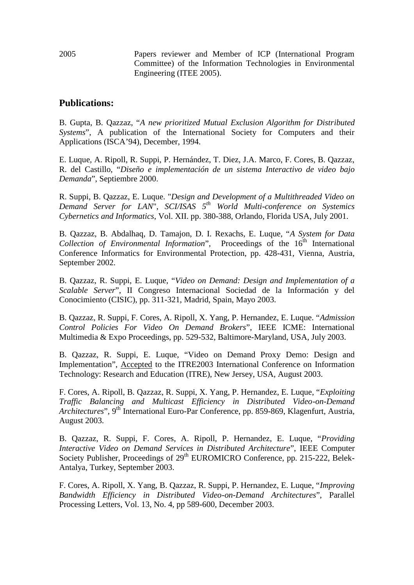2005 Papers reviewer and Member of ICP (International Program Committee) of the Information Technologies in Environmental Engineering (ITEE 2005).

## **Publications:**

B. Gupta, B. Qazzaz, "*A new prioritized Mutual Exclusion Algorithm for Distributed Systems*", A publication of the International Society for Computers and their Applications (ISCA'94), December, 1994.

E. Luque, A. Ripoll, R. Suppi, P. Hernández, T. Diez, J.A. Marco, F. Cores, B. Qazzaz, R. del Castillo, "*Diseño e implementación de un sistema Interactivo de video bajo Demanda*", Septiembre 2000.

R. Suppi, B. Qazzaz, E. Luque. "*Design and Development of a Multithreaded Video on Demand Server for LAN*", *SCI/ISAS 5th World Multi-conference on Systemics Cybernetics and Informatics*, Vol. XII. pp. 380-388, Orlando, Florida USA, July 2001.

B. Qazzaz, B. Abdalhaq, D. Tamajon, D. I. Rexachs, E. Luque, "*A System for Data Collection of Environmental Information*", Proceedings of the 16<sup>th</sup> International Conference Informatics for Environmental Protection, pp. 428-431, Vienna, Austria, September 2002.

B. Qazzaz, R. Suppi, E. Luque, "*Video on Demand: Design and Implementation of a Scalable Server*", II Congreso Internacional Sociedad de la Información y del Conocimiento (CISIC), pp. 311-321, Madrid, Spain, Mayo 2003.

B. Qazzaz, R. Suppi, F. Cores, A. Ripoll, X. Yang, P. Hernandez, E. Luque. "*Admission Control Policies For Video On Demand Brokers*", IEEE ICME: International Multimedia & Expo Proceedings, pp. 529-532, Baltimore-Maryland, USA, July 2003.

B. Qazzaz, R. Suppi, E. Luque, "Video on Demand Proxy Demo: Design and Implementation", Accepted to the ITRE2003 International Conference on Information Technology: Research and Education (ITRE), New Jersey, USA, August 2003.

F. Cores, A. Ripoll, B. Qazzaz, R. Suppi, X. Yang, P. Hernandez, E. Luque, "*Exploiting Traffic Balancing and Multicast Efficiency in Distributed Video-on-Demand Architectures*", 9<sup>th</sup> International Euro-Par Conference, pp. 859-869, Klagenfurt, Austria, August 2003.

B. Qazzaz, R. Suppi, F. Cores, A. Ripoll, P. Hernandez, E. Luque, "*Providing Interactive Video on Demand Services in Distributed Architecture*", IEEE Computer Society Publisher, Proceedings of 29<sup>th</sup> EUROMICRO Conference, pp. 215-222, Belek-Antalya, Turkey, September 2003.

F. Cores, A. Ripoll, X. Yang, B. Qazzaz, R. Suppi, P. Hernandez, E. Luque, "*Improving Bandwidth Efficiency in Distributed Video-on-Demand Architectures*", Parallel Processing Letters, Vol. 13, No. 4, pp 589-600, December 2003.